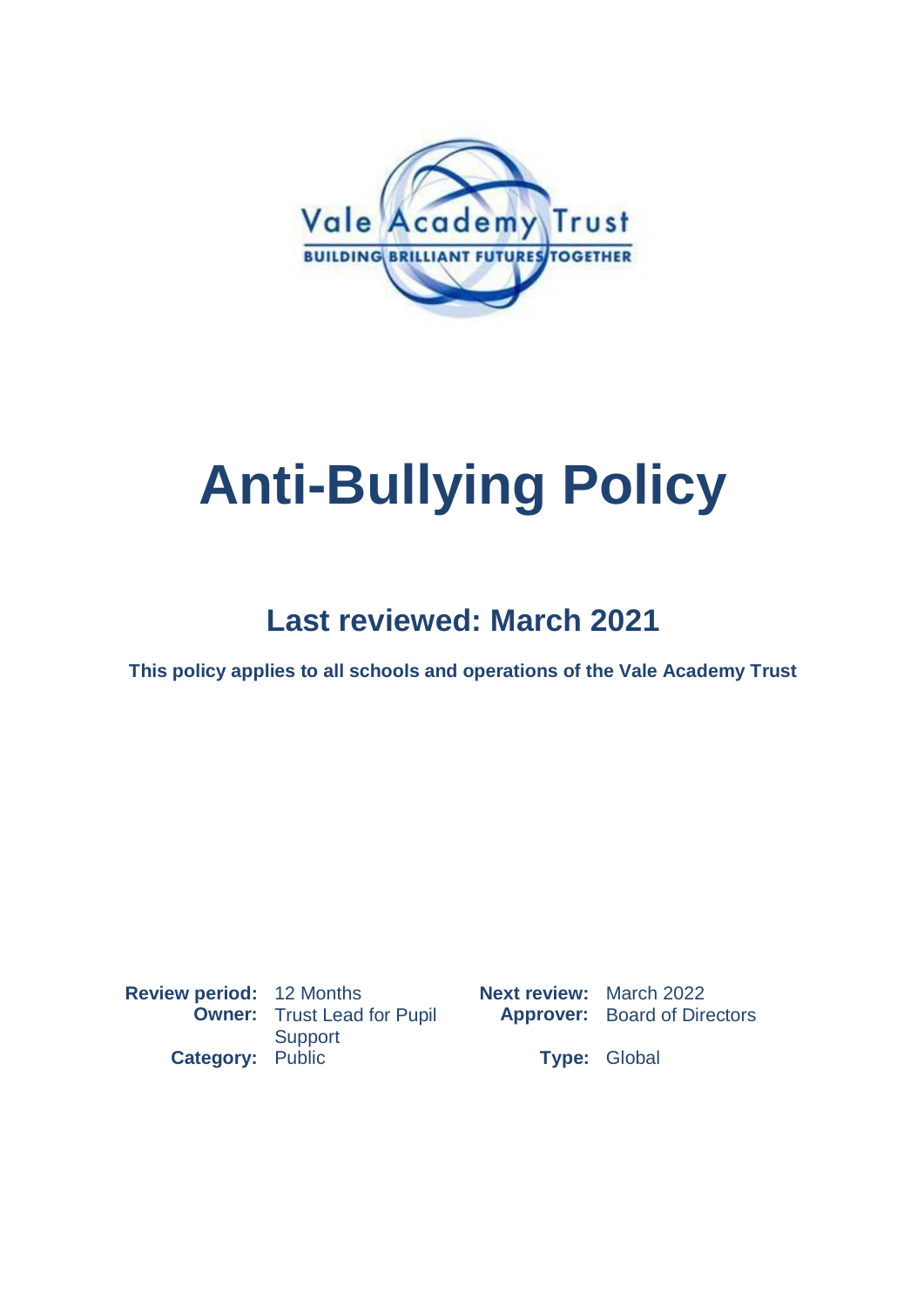

# **Anti-Bullying Policy**

## **Last reviewed: March 2021**

**This policy applies to all schools and operations of the Vale Academy Trust**

**Review period:** 12 Months **Next review:** March 2022 **Owner:** Trust Lead for Pupil **Support Category:** Public **Type:** Global

**Approver:** Board of Directors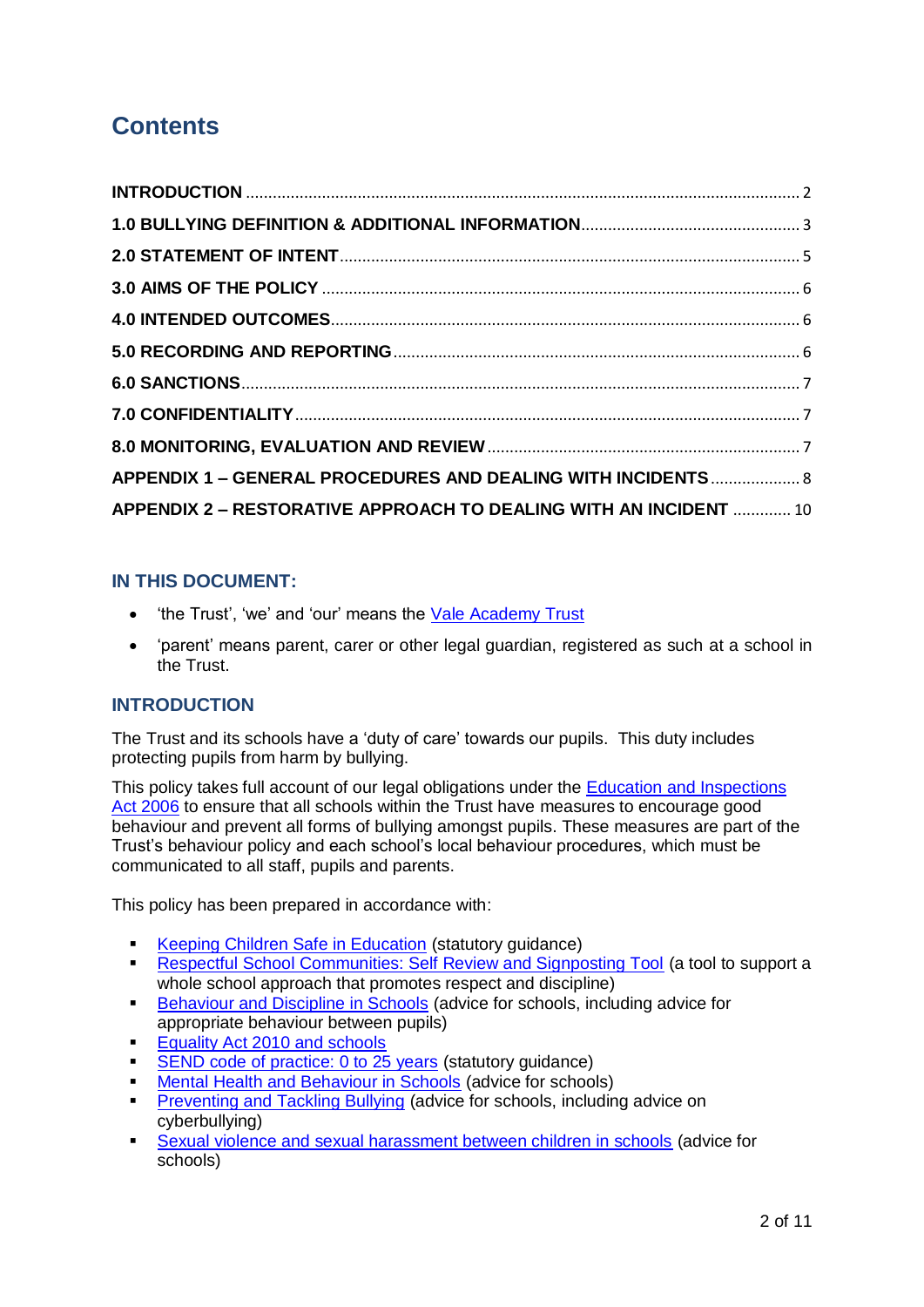### **Contents**

| APPENDIX 1 - GENERAL PROCEDURES AND DEALING WITH INCIDENTS  8     |  |
|-------------------------------------------------------------------|--|
| APPENDIX 2 - RESTORATIVE APPROACH TO DEALING WITH AN INCIDENT  10 |  |

#### **IN THIS DOCUMENT:**

- 'the Trust', 'we' and 'our' means the [Vale Academy Trust](https://www.vale-academy.org/)
- 'parent' means parent, carer or other legal guardian, registered as such at a school in the Trust.

#### <span id="page-1-0"></span>**INTRODUCTION**

The Trust and its schools have a 'duty of care' towards our pupils. This duty includes protecting pupils from harm by bullying.

This policy takes full account of our legal obligations under the [Education and Inspections](https://www.legislation.gov.uk/ukpga/2006/40/contents)  [Act 2006](https://www.legislation.gov.uk/ukpga/2006/40/contents) to ensure that all schools within the Trust have measures to encourage good behaviour and prevent all forms of bullying amongst pupils. These measures are part of the Trust's behaviour policy and each school's local behaviour procedures, which must be communicated to all staff, pupils and parents.

This policy has been prepared in accordance with:

- [Keeping Children Safe in Education](https://www.gov.uk/government/publications/keeping-children-safe-in-education--2) (statutory quidance)
- **[Respectful School Communities: Self Review and Signposting Tool](https://educateagainsthate.com/resources/respectful-school-communities-self-review-signposting-tool-2/) (a tool to support a** whole school approach that promotes respect and discipline)
- **[Behaviour and Discipline in Schools](https://www.gov.uk/government/publications/behaviour-and-discipline-in-schools) (advice for schools, including advice for** appropriate behaviour between pupils)
- [Equality Act 2010 and schools](https://www.gov.uk/government/publications/equality-act-2010-advice-for-schools)
- [SEND code of practice: 0 to 25 years](https://www.gov.uk/government/publications/send-code-of-practice-0-to-25) (statutory guidance)
- [Mental Health and Behaviour in Schools](https://www.gov.uk/government/publications/mental-health-and-behaviour-in-schools--2) (advice for schools)
- **[Preventing and Tackling Bullying](https://www.gov.uk/government/publications/preventing-and-tackling-bullying) (advice for schools, including advice on** cyberbullying)
- [Sexual violence and sexual harassment between children in schools](https://www.gov.uk/government/publications/sexual-violence-and-sexual-harassment-between-children-in-schools-and-colleges) (advice for schools)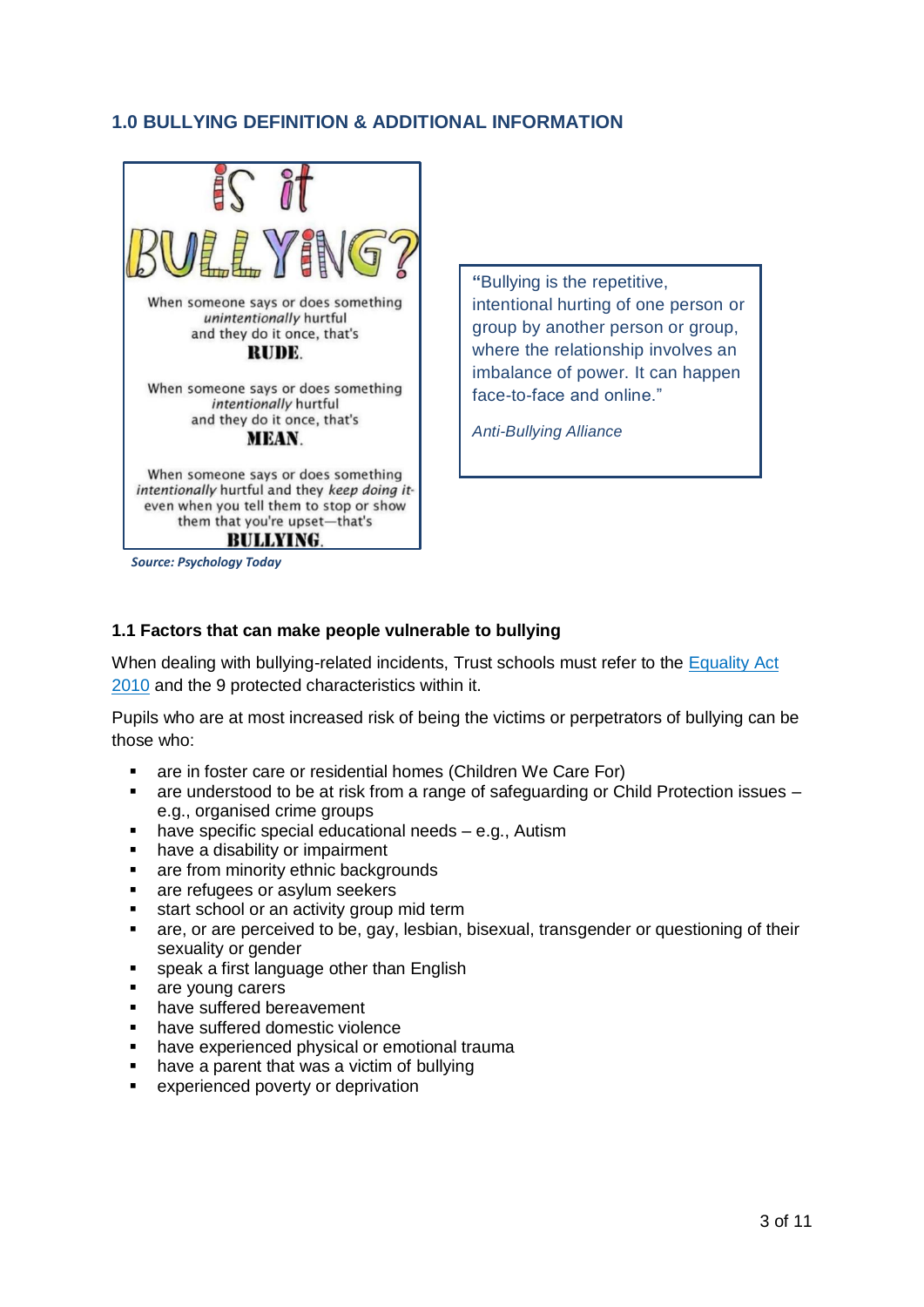#### <span id="page-2-0"></span>**1.0 BULLYING DEFINITION & ADDITIONAL INFORMATION**



*Source: Psychology Today*

**"**Bullying is the repetitive, intentional hurting of one person or group by another person or group, where the relationship involves an imbalance of power. It can happen face-to-face and online."

*Anti-Bullying Alliance*

#### **1.1 Factors that can make people vulnerable to bullying**

When dealing with bullying-related incidents, Trust schools must refer to the [Equality Act](https://assets.publishing.service.gov.uk/government/uploads/system/uploads/attachment_data/file/315587/Equality_Act_Advice_Final.pdf)  [2010](https://assets.publishing.service.gov.uk/government/uploads/system/uploads/attachment_data/file/315587/Equality_Act_Advice_Final.pdf) and the 9 protected characteristics within it.

Pupils who are at most increased risk of being the victims or perpetrators of bullying can be those who:

- **are in foster care or residential homes (Children We Care For)**
- are understood to be at risk from a range of safeguarding or Child Protection issues e.g., organised crime groups
- have specific special educational needs e.g., Autism
- have a disability or impairment
- are from minority ethnic backgrounds
- are refugees or asylum seekers
- start school or an activity group mid term
- are, or are perceived to be, gay, lesbian, bisexual, transgender or questioning of their sexuality or gender
- speak a first language other than English
- are young carers
- have suffered bereavement
- have suffered domestic violence
- have experienced physical or emotional trauma
- have a parent that was a victim of bullying
- experienced poverty or deprivation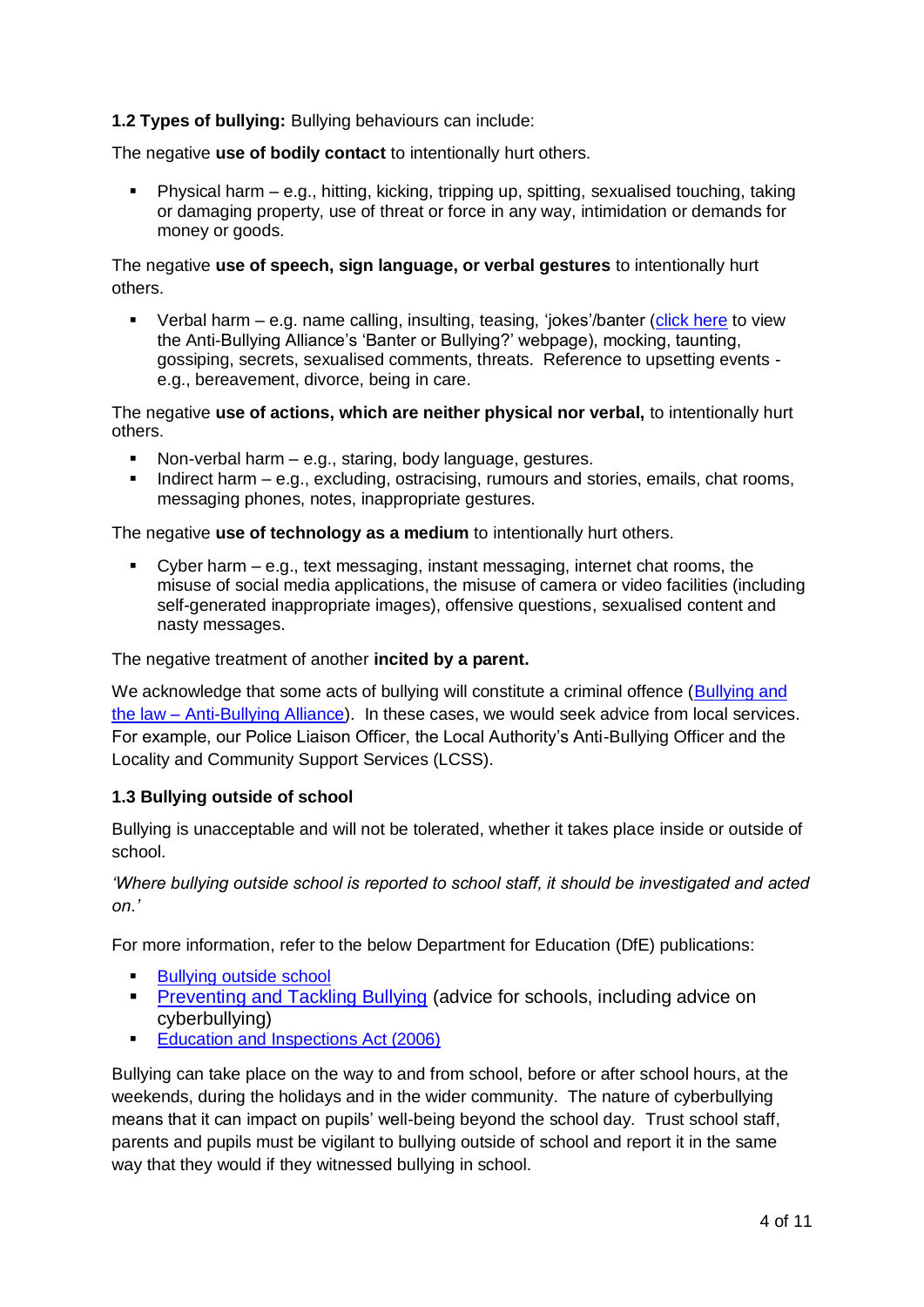#### **1.2 Types of bullying:** Bullying behaviours can include:

The negative **use of bodily contact** to intentionally hurt others.

 Physical harm – e.g., hitting, kicking, tripping up, spitting, sexualised touching, taking or damaging property, use of threat or force in any way, intimidation or demands for money or goods.

The negative **use of speech, sign language, or verbal gestures** to intentionally hurt others.

Verbal harm – e.g. name calling, insulting, teasing, 'iokes'/banter [\(click here](https://www.anti-bullyingalliance.org.uk/tools-information/all-about-bullying/what-bullying/banter) to view the Anti-Bullying Alliance's 'Banter or Bullying?' webpage), mocking, taunting, gossiping, secrets, sexualised comments, threats. Reference to upsetting events e.g., bereavement, divorce, being in care.

The negative **use of actions, which are neither physical nor verbal,** to intentionally hurt others.

- Non-verbal harm e.g., staring, body language, gestures.
- Indirect harm e.g., excluding, ostracising, rumours and stories, emails, chat rooms, messaging phones, notes, inappropriate gestures.

The negative **use of technology as a medium** to intentionally hurt others.

 Cyber harm – e.g., text messaging, instant messaging, internet chat rooms, the misuse of social media applications, the misuse of camera or video facilities (including self-generated inappropriate images), offensive questions, sexualised content and nasty messages.

The negative treatment of another **incited by a parent.**

We acknowledge that some acts of bullying will constitute a criminal offence (Bullying and the law – [Anti-Bullying Alliance\)](https://www.anti-bullyingalliance.org.uk/tools-information/all-about-bullying/bullying-and-law). In these cases, we would seek advice from local services. For example, our Police Liaison Officer, the Local Authority's Anti-Bullying Officer and the Locality and Community Support Services (LCSS).

#### **1.3 Bullying outside of school**

Bullying is unacceptable and will not be tolerated, whether it takes place inside or outside of school.

*'Where bullying outside school is reported to school staff, it should be investigated and acted on.'*

For more information, refer to the below Department for Education (DfE) publications:

- **[Bullying outside school](https://www.gov.uk/bullying-at-school/bullying-outside-school)**
- **[Preventing and Tackling Bullying](https://www.gov.uk/government/publications/preventing-and-tackling-bullying) (advice for schools, including advice on** cyberbullying)
- [Education and Inspections Act \(2006\)](http://www.legislation.gov.uk/ukpga/2006/40/contents)

Bullying can take place on the way to and from school, before or after school hours, at the weekends, during the holidays and in the wider community. The nature of cyberbullying means that it can impact on pupils' well-being beyond the school day. Trust school staff, parents and pupils must be vigilant to bullying outside of school and report it in the same way that they would if they witnessed bullying in school.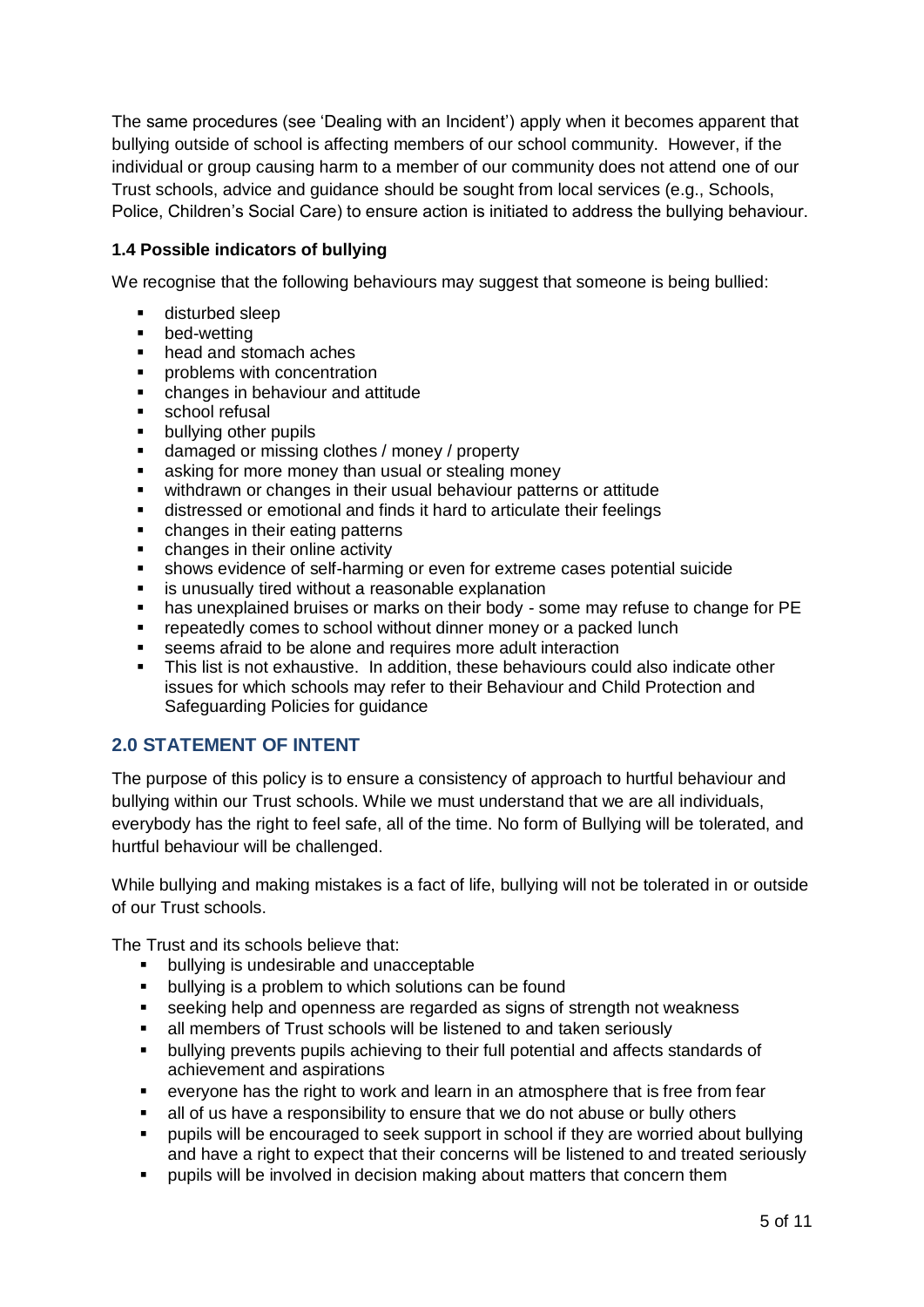The same procedures (see 'Dealing with an Incident') apply when it becomes apparent that bullying outside of school is affecting members of our school community. However, if the individual or group causing harm to a member of our community does not attend one of our Trust schools, advice and guidance should be sought from local services (e.g., Schools, Police, Children's Social Care) to ensure action is initiated to address the bullying behaviour.

#### **1.4 Possible indicators of bullying**

We recognise that the following behaviours may suggest that someone is being bullied:

- disturbed sleep
- bed-wetting<br>■ head and str
- head and stomach aches
- **•** problems with concentration
- changes in behaviour and attitude
- **school refusal**
- bullying other pupils
- damaged or missing clothes / money / property
- **asking for more money than usual or stealing money**
- withdrawn or changes in their usual behaviour patterns or attitude
- distressed or emotional and finds it hard to articulate their feelings
- changes in their eating patterns
- changes in their online activity
- shows evidence of self-harming or even for extreme cases potential suicide
- **EXTED is unusually tired without a reasonable explanation**
- has unexplained bruises or marks on their body some may refuse to change for PE
- **F** repeatedly comes to school without dinner money or a packed lunch
- seems afraid to be alone and requires more adult interaction
- This list is not exhaustive. In addition, these behaviours could also indicate other issues for which schools may refer to their Behaviour and Child Protection and Safeguarding Policies for guidance

#### <span id="page-4-0"></span>**2.0 STATEMENT OF INTENT**

The purpose of this policy is to ensure a consistency of approach to hurtful behaviour and bullying within our Trust schools. While we must understand that we are all individuals, everybody has the right to feel safe, all of the time. No form of Bullying will be tolerated, and hurtful behaviour will be challenged.

While bullying and making mistakes is a fact of life, bullying will not be tolerated in or outside of our Trust schools.

The Trust and its schools believe that:

- **•** bullying is undesirable and unacceptable
- **•** bullying is a problem to which solutions can be found
- seeking help and openness are regarded as signs of strength not weakness
- all members of Trust schools will be listened to and taken seriously
- bullying prevents pupils achieving to their full potential and affects standards of achievement and aspirations
- everyone has the right to work and learn in an atmosphere that is free from fear
- all of us have a responsibility to ensure that we do not abuse or bully others
- **•** pupils will be encouraged to seek support in school if they are worried about bullying and have a right to expect that their concerns will be listened to and treated seriously
- pupils will be involved in decision making about matters that concern them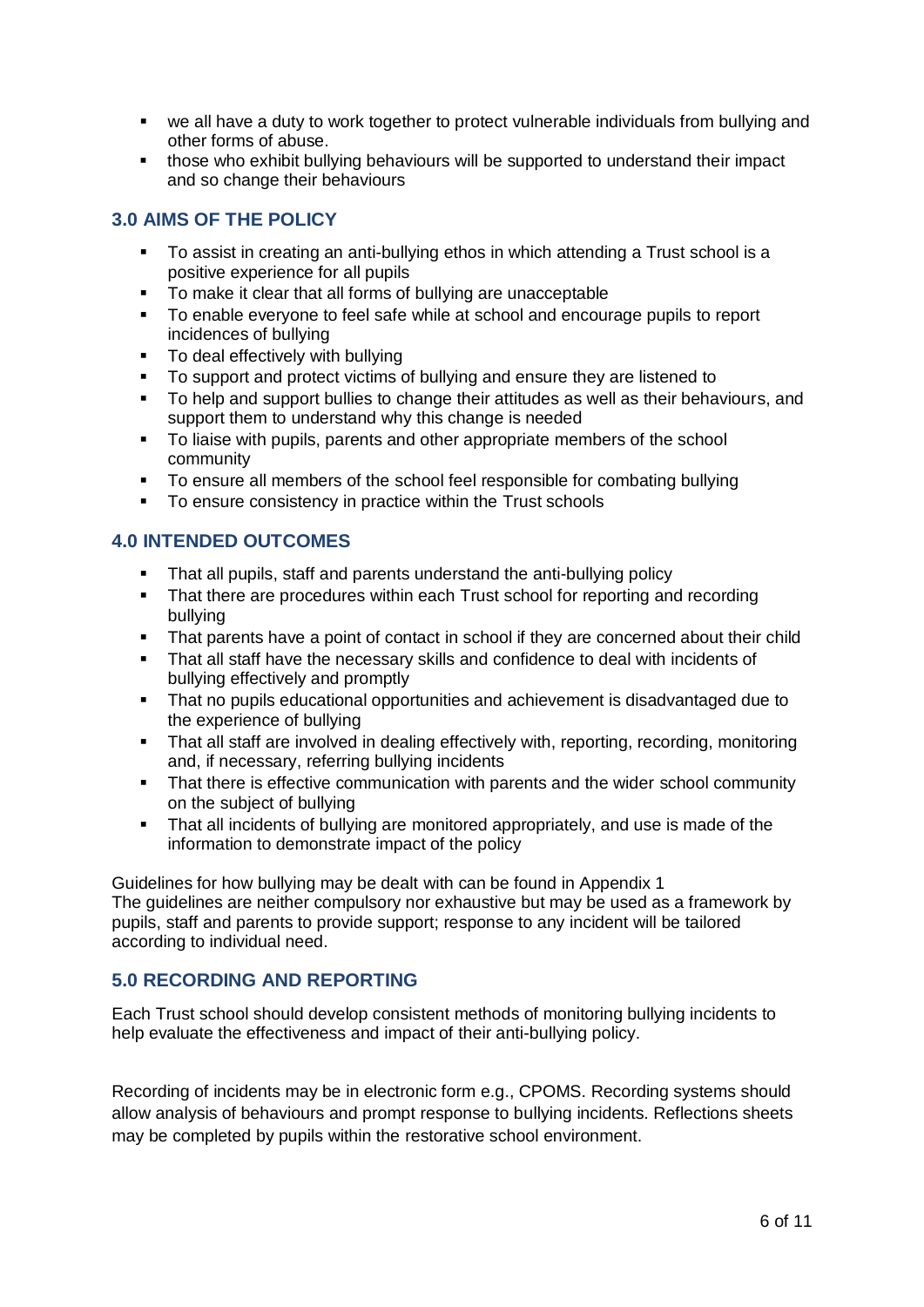- we all have a duty to work together to protect vulnerable individuals from bullying and other forms of abuse.
- those who exhibit bullying behaviours will be supported to understand their impact and so change their behaviours

#### <span id="page-5-0"></span>**3.0 AIMS OF THE POLICY**

- To assist in creating an anti-bullying ethos in which attending a Trust school is a positive experience for all pupils
- To make it clear that all forms of bullying are unacceptable
- To enable everyone to feel safe while at school and encourage pupils to report incidences of bullying
- To deal effectively with bullying
- To support and protect victims of bullying and ensure they are listened to
- To help and support bullies to change their attitudes as well as their behaviours, and support them to understand why this change is needed
- To liaise with pupils, parents and other appropriate members of the school community
- To ensure all members of the school feel responsible for combating bullying
- To ensure consistency in practice within the Trust schools

#### <span id="page-5-1"></span>**4.0 INTENDED OUTCOMES**

- That all pupils, staff and parents understand the anti-bullying policy
- That there are procedures within each Trust school for reporting and recording bullying
- That parents have a point of contact in school if they are concerned about their child
- That all staff have the necessary skills and confidence to deal with incidents of bullying effectively and promptly
- That no pupils educational opportunities and achievement is disadvantaged due to the experience of bullying
- That all staff are involved in dealing effectively with, reporting, recording, monitoring and, if necessary, referring bullying incidents
- That there is effective communication with parents and the wider school community on the subject of bullying
- That all incidents of bullying are monitored appropriately, and use is made of the information to demonstrate impact of the policy

Guidelines for how bullying may be dealt with can be found in Appendix 1 The guidelines are neither compulsory nor exhaustive but may be used as a framework by pupils, staff and parents to provide support; response to any incident will be tailored according to individual need.

#### <span id="page-5-2"></span>**5.0 RECORDING AND REPORTING**

Each Trust school should develop consistent methods of monitoring bullying incidents to help evaluate the effectiveness and impact of their anti-bullying policy.

Recording of incidents may be in electronic form e.g., CPOMS. Recording systems should allow analysis of behaviours and prompt response to bullying incidents. Reflections sheets may be completed by pupils within the restorative school environment.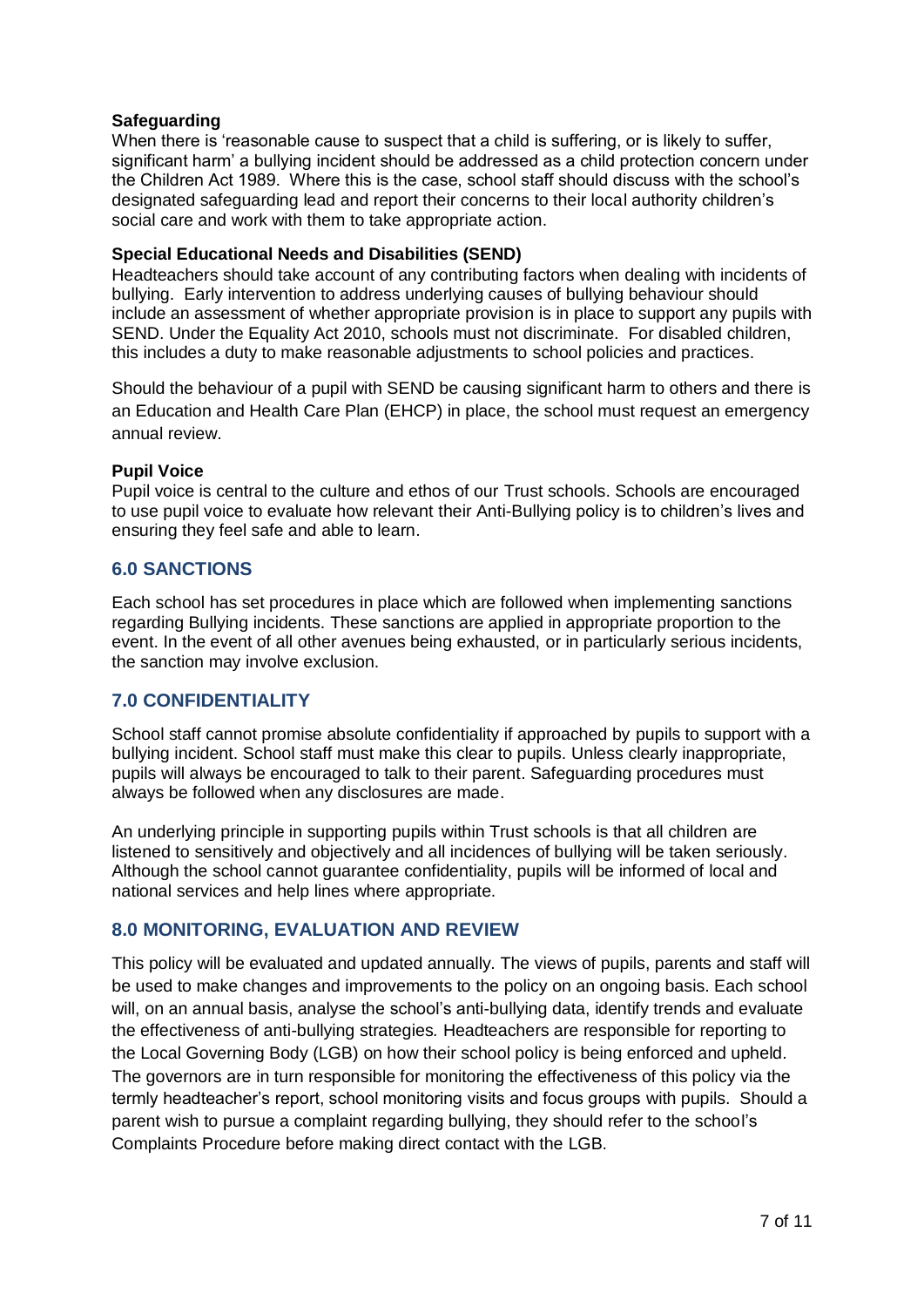#### **Safeguarding**

When there is 'reasonable cause to suspect that a child is suffering, or is likely to suffer. significant harm' a bullying incident should be addressed as a child protection concern under the Children Act 1989. Where this is the case, school staff should discuss with the school's designated safeguarding lead and report their concerns to their local authority children's social care and work with them to take appropriate action.

#### **Special Educational Needs and Disabilities (SEND)**

Headteachers should take account of any contributing factors when dealing with incidents of bullying. Early intervention to address underlying causes of bullying behaviour should include an assessment of whether appropriate provision is in place to support any pupils with SEND. Under the Equality Act 2010, schools must not discriminate. For disabled children, this includes a duty to make reasonable adjustments to school policies and practices.

Should the behaviour of a pupil with SEND be causing significant harm to others and there is an Education and Health Care Plan (EHCP) in place, the school must request an emergency annual review.

#### **Pupil Voice**

Pupil voice is central to the culture and ethos of our Trust schools. Schools are encouraged to use pupil voice to evaluate how relevant their Anti-Bullying policy is to children's lives and ensuring they feel safe and able to learn.

#### <span id="page-6-0"></span>**6.0 SANCTIONS**

Each school has set procedures in place which are followed when implementing sanctions regarding Bullying incidents. These sanctions are applied in appropriate proportion to the event. In the event of all other avenues being exhausted, or in particularly serious incidents, the sanction may involve exclusion.

#### <span id="page-6-1"></span>**7.0 CONFIDENTIALITY**

School staff cannot promise absolute confidentiality if approached by pupils to support with a bullying incident. School staff must make this clear to pupils. Unless clearly inappropriate, pupils will always be encouraged to talk to their parent. Safeguarding procedures must always be followed when any disclosures are made.

An underlying principle in supporting pupils within Trust schools is that all children are listened to sensitively and objectively and all incidences of bullying will be taken seriously. Although the school cannot guarantee confidentiality, pupils will be informed of local and national services and help lines where appropriate.

#### <span id="page-6-2"></span>**8.0 MONITORING, EVALUATION AND REVIEW**

This policy will be evaluated and updated annually. The views of pupils, parents and staff will be used to make changes and improvements to the policy on an ongoing basis. Each school will, on an annual basis, analyse the school's anti-bullying data, identify trends and evaluate the effectiveness of anti-bullying strategies*.* Headteachers are responsible for reporting to the Local Governing Body (LGB) on how their school policy is being enforced and upheld. The governors are in turn responsible for monitoring the effectiveness of this policy via the termly headteacher's report, school monitoring visits and focus groups with pupils. Should a parent wish to pursue a complaint regarding bullying, they should refer to the school's Complaints Procedure before making direct contact with the LGB.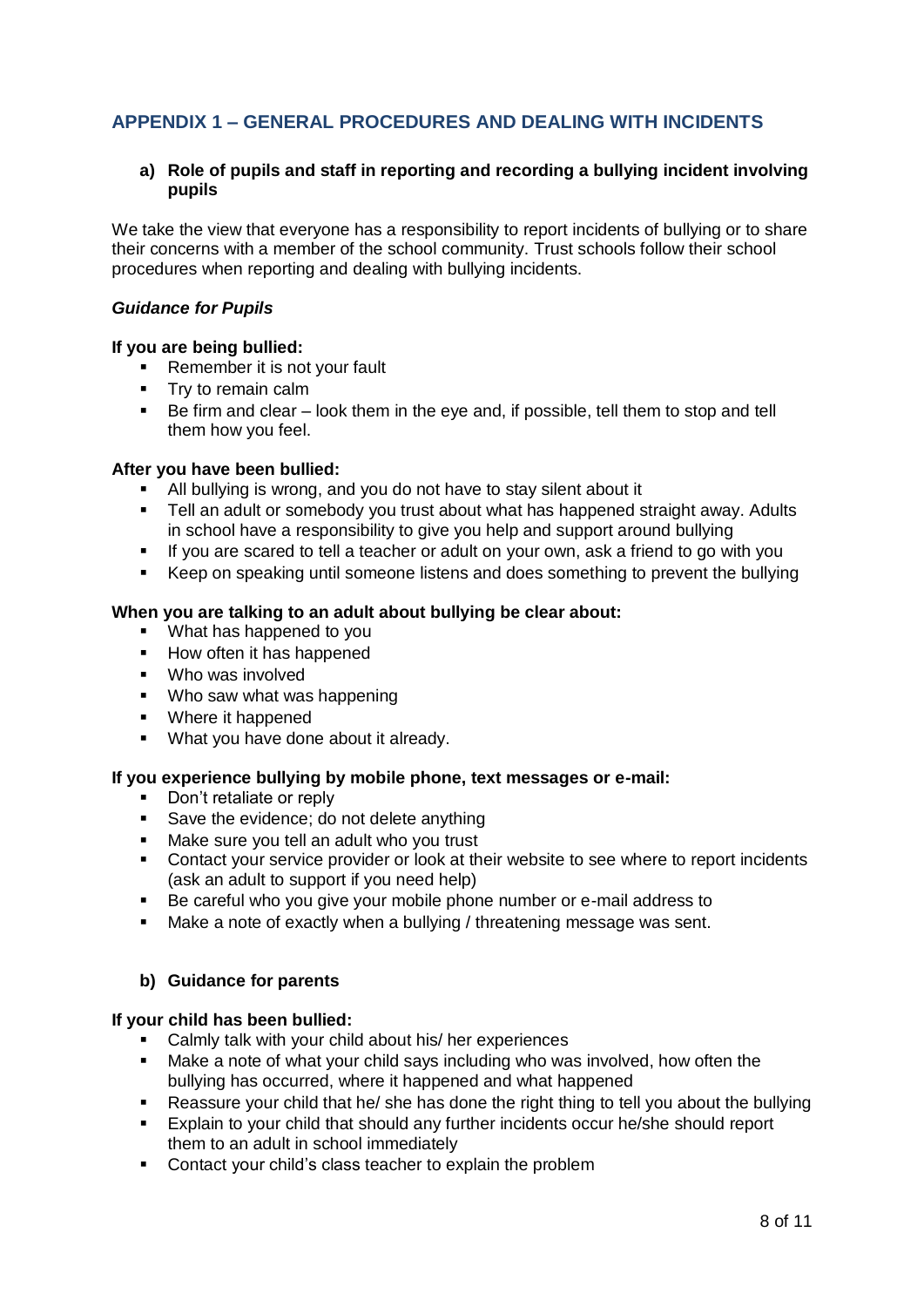#### <span id="page-7-0"></span>**APPENDIX 1 – GENERAL PROCEDURES AND DEALING WITH INCIDENTS**

#### **a) Role of pupils and staff in reporting and recording a bullying incident involving pupils**

We take the view that everyone has a responsibility to report incidents of bullying or to share their concerns with a member of the school community. Trust schools follow their school procedures when reporting and dealing with bullying incidents.

#### *Guidance for Pupils*

#### **If you are being bullied:**

- **Remember it is not your fault**
- **Try to remain calm**
- Be firm and clear look them in the eye and, if possible, tell them to stop and tell them how you feel.

#### **After you have been bullied:**

- All bullying is wrong, and you do not have to stay silent about it
- Tell an adult or somebody you trust about what has happened straight away. Adults in school have a responsibility to give you help and support around bullying
- If you are scared to tell a teacher or adult on your own, ask a friend to go with you
- Keep on speaking until someone listens and does something to prevent the bullying

#### **When you are talking to an adult about bullying be clear about:**

- What has happened to you
- How often it has happened
- **Who was involved**
- **Who saw what was happening**
- Where it happened
- **What you have done about it already.**

#### **If you experience bullying by mobile phone, text messages or e-mail:**

- Don't retaliate or reply
- Save the evidence; do not delete anything
- **Make sure you tell an adult who you trust**
- **EXECONTER 1** Contact your service provider or look at their website to see where to report incidents (ask an adult to support if you need help)
- Be careful who you give your mobile phone number or e-mail address to
- Make a note of exactly when a bullying / threatening message was sent.

#### **b) Guidance for parents**

#### **If your child has been bullied:**

- Calmly talk with your child about his/ her experiences
- Make a note of what your child says including who was involved, how often the bullying has occurred, where it happened and what happened
- Reassure your child that he/ she has done the right thing to tell you about the bullying
- Explain to your child that should any further incidents occur he/she should report them to an adult in school immediately
- **Contact your child's class teacher to explain the problem**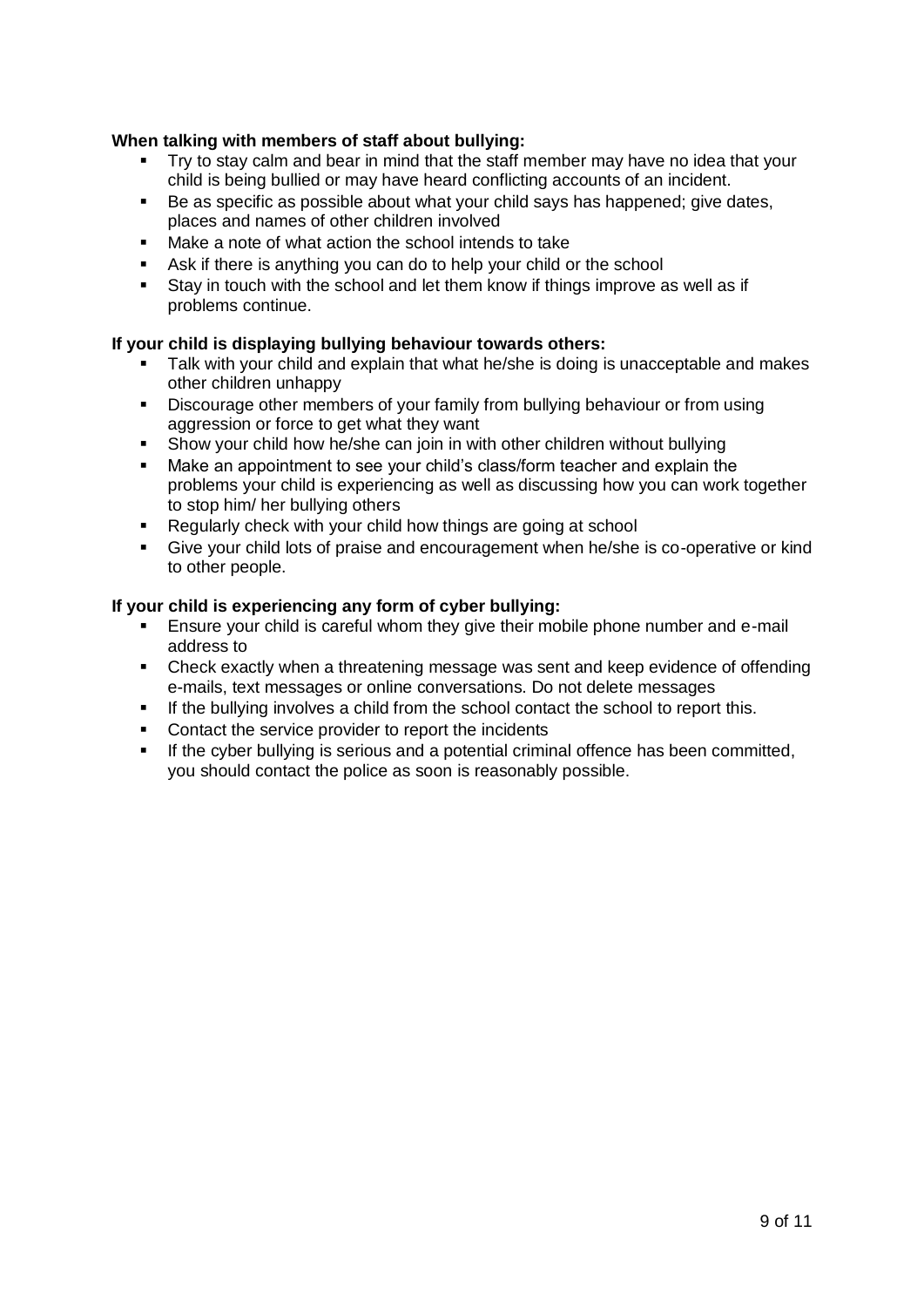#### **When talking with members of staff about bullying:**

- Try to stay calm and bear in mind that the staff member may have no idea that your child is being bullied or may have heard conflicting accounts of an incident.
- Be as specific as possible about what your child says has happened; give dates, places and names of other children involved
- Make a note of what action the school intends to take
- Ask if there is anything you can do to help your child or the school
- Stay in touch with the school and let them know if things improve as well as if problems continue.

#### **If your child is displaying bullying behaviour towards others:**

- Talk with your child and explain that what he/she is doing is unacceptable and makes other children unhappy
- Discourage other members of your family from bullying behaviour or from using aggression or force to get what they want
- Show your child how he/she can join in with other children without bullying
- Make an appointment to see your child's class/form teacher and explain the problems your child is experiencing as well as discussing how you can work together to stop him/ her bullying others
- Requiarly check with your child how things are going at school
- Give your child lots of praise and encouragement when he/she is co-operative or kind to other people.

#### **If your child is experiencing any form of cyber bullying:**

- Ensure your child is careful whom they give their mobile phone number and e-mail address to
- Check exactly when a threatening message was sent and keep evidence of offending e-mails, text messages or online conversations. Do not delete messages
- If the bullying involves a child from the school contact the school to report this.
- Contact the service provider to report the incidents
- **If the cyber bullying is serious and a potential criminal offence has been committed,** you should contact the police as soon is reasonably possible.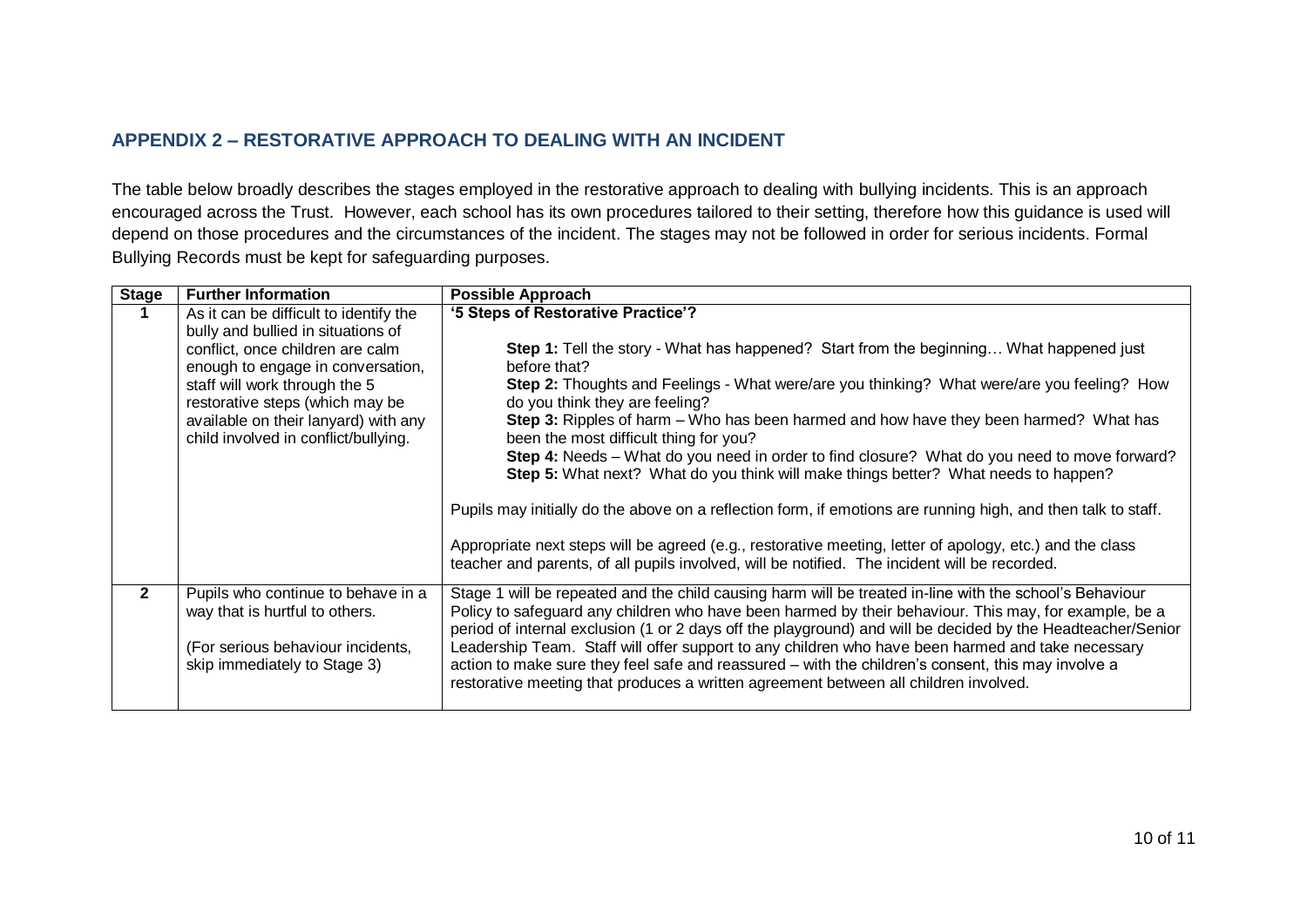#### **APPENDIX 2 – RESTORATIVE APPROACH TO DEALING WITH AN INCIDENT**

The table below broadly describes the stages employed in the restorative approach to dealing with bullying incidents. This is an approach encouraged across the Trust. However, each school has its own procedures tailored to their setting, therefore how this guidance is used will depend on those procedures and the circumstances of the incident. The stages may not be followed in order for serious incidents. Formal Bullying Records must be kept for safeguarding purposes.

<span id="page-9-0"></span>

| <b>Stage</b> | <b>Further Information</b>                                                   | <b>Possible Approach</b>                                                                                                                                                                                  |
|--------------|------------------------------------------------------------------------------|-----------------------------------------------------------------------------------------------------------------------------------------------------------------------------------------------------------|
|              | As it can be difficult to identify the                                       | '5 Steps of Restorative Practice'?                                                                                                                                                                        |
|              | bully and bullied in situations of                                           |                                                                                                                                                                                                           |
|              | conflict, once children are calm                                             | <b>Step 1:</b> Tell the story - What has happened? Start from the beginning What happened just                                                                                                            |
|              | enough to engage in conversation,                                            | before that?                                                                                                                                                                                              |
|              | staff will work through the 5                                                | Step 2: Thoughts and Feelings - What were/are you thinking? What were/are you feeling? How                                                                                                                |
|              | restorative steps (which may be                                              | do you think they are feeling?                                                                                                                                                                            |
|              | available on their lanyard) with any<br>child involved in conflict/bullying. | Step 3: Ripples of harm – Who has been harmed and how have they been harmed? What has<br>been the most difficult thing for you?                                                                           |
|              |                                                                              | Step 4: Needs – What do you need in order to find closure? What do you need to move forward?                                                                                                              |
|              |                                                                              | Step 5: What next? What do you think will make things better? What needs to happen?                                                                                                                       |
|              |                                                                              |                                                                                                                                                                                                           |
|              |                                                                              | Pupils may initially do the above on a reflection form, if emotions are running high, and then talk to staff.                                                                                             |
|              |                                                                              | Appropriate next steps will be agreed (e.g., restorative meeting, letter of apology, etc.) and the class<br>teacher and parents, of all pupils involved, will be notified. The incident will be recorded. |
| $\mathbf{2}$ | Pupils who continue to behave in a                                           | Stage 1 will be repeated and the child causing harm will be treated in-line with the school's Behaviour                                                                                                   |
|              | way that is hurtful to others.                                               | Policy to safeguard any children who have been harmed by their behaviour. This may, for example, be a                                                                                                     |
|              |                                                                              | period of internal exclusion (1 or 2 days off the playground) and will be decided by the Headteacher/Senior                                                                                               |
|              | (For serious behaviour incidents,                                            | Leadership Team. Staff will offer support to any children who have been harmed and take necessary                                                                                                         |
|              | skip immediately to Stage 3)                                                 | action to make sure they feel safe and reassured - with the children's consent, this may involve a<br>restorative meeting that produces a written agreement between all children involved.                |
|              |                                                                              |                                                                                                                                                                                                           |